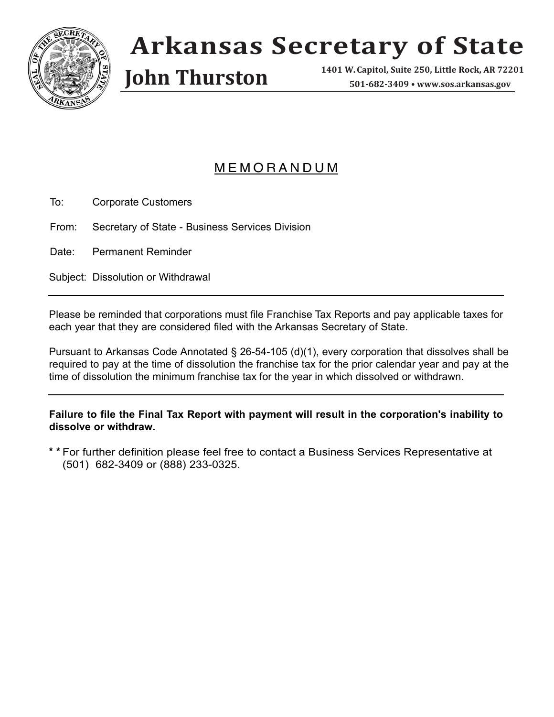

## **Arkansas Secretary of State**

**John Thurston** 

**1401 W. Capitol, Suite 250, 501-682-3409 • www.sos.arkansas.gov**

## M E M O R A N D U M

To: Corporate Customers

From: Secretary of State - Business Services Division

Date: Permanent Reminder

Subject: Dissolution or Withdrawal

Please be reminded that corporations must file Franchise Tax Reports and pay applicable taxes for each year that they are considered filed with the Arkansas Secretary of State.

Pursuant to Arkansas Code Annotated § 26-54-105 (d)(1), every corporation that dissolves shall be required to pay at the time of dissolution the franchise tax for the prior calendar year and pay at the time of dissolution the minimum franchise tax for the year in which dissolved or withdrawn.

**Failure to file the Final Tax Report with payment will result in the corporation's inability to dissolve or withdraw.**

**\* \*** For further definition please feel free to contact a Business Services Representative at (501) 682-3409 or (888) 233-0325.